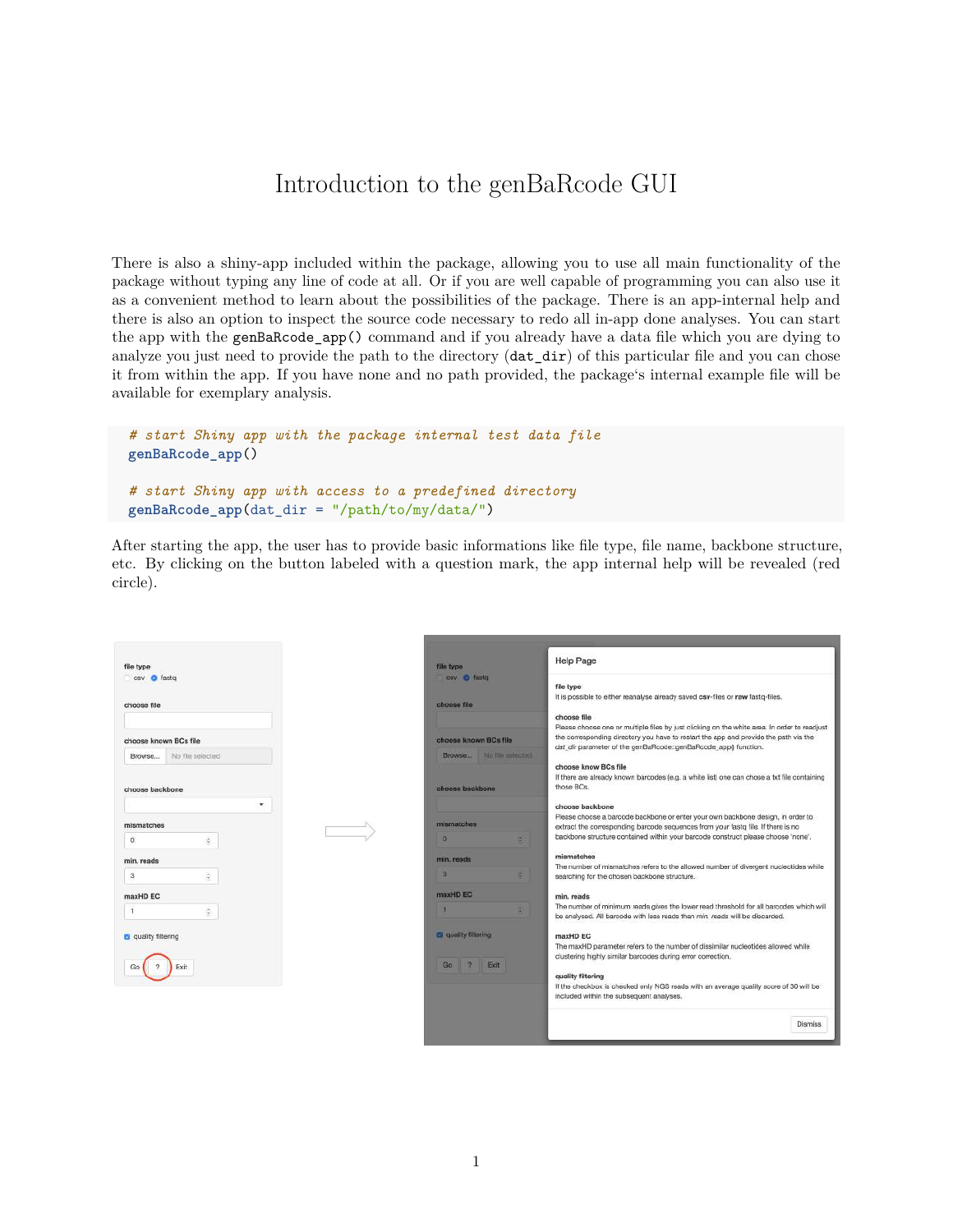## Introduction to the genBaRcode GUI

There is also a shiny-app included within the package, allowing you to use all main functionality of the package without typing any line of code at all. Or if you are well capable of programming you can also use it as a convenient method to learn about the possibilities of the package. There is an app-internal help and there is also an option to inspect the source code necessary to redo all in-app done analyses. You can start the app with the genBaRcode\_app() command and if you already have a data file which you are dying to analyze you just need to provide the path to the directory (dat dir) of this particular file and you can chose it from within the app. If you have none and no path provided, the package's internal example file will be available for exemplary analysis.

```
# start Shiny app with the package internal test data file
genBaRcode_app()
# start Shiny app with access to a predefined directory
genBaRcode_app(dat_dir = "/path/to/my/data/")
```
After starting the app, the user has to provide basic informations like file type, file name, backbone structure, etc. By clicking on the button labeled with a question mark, the app internal help will be revealed (red circle).

| file type<br>csy <b>O</b> fasto                     | file type<br>cay O fasto                         | <b>Help Page</b><br>file type<br>It is possible to either reanalyse already saved csv-files or raw fastq-files.                                                                                                                                                        |
|-----------------------------------------------------|--------------------------------------------------|------------------------------------------------------------------------------------------------------------------------------------------------------------------------------------------------------------------------------------------------------------------------|
| choose file                                         | choose file                                      |                                                                                                                                                                                                                                                                        |
| choose known BCs file<br>No file selected<br>Browse | choose known BCs file<br>Browse No file selected | choose file<br>Please choose one or multiple files by just clicking on the white area. In order to readjust<br>the corresponding directory you have to restart the app and provide the path via the<br>dat dir parameter of the genBaRcode::genBaRcode app() function. |
| choose backbone                                     | choose backbone                                  | choose know BCs file<br>If there are already known barcodes (e.g. a white list) one can chose a txt file containing<br>those BCs.                                                                                                                                      |
| ۰                                                   |                                                  | choose backbone                                                                                                                                                                                                                                                        |
| mismatches                                          | mismatches                                       | Please choose a barcode backbone or enter your own backbone design, in order to<br>extract the corresponding barcode sequences from your fastg file. If there is no<br>backbone structure contained within your barcode construct please choose 'none'.                |
| O.<br>$\hat{\varphi}$                               | o<br>в                                           |                                                                                                                                                                                                                                                                        |
| min, reads                                          | min. reads                                       | mismatches                                                                                                                                                                                                                                                             |
| $\mathbf{3}$<br>ă.                                  | а                                                | The number of mismatches refers to the allowed number of divergent nucleotides while<br>searching for the chosen backbone structure.                                                                                                                                   |
| maxHD EC                                            | maxHD EC                                         | min. reads                                                                                                                                                                                                                                                             |
| O)                                                  |                                                  | The number of minimum reads gives the lower read threshold for all barcodes which will<br>be analysed. All barcode with less reads than min, reads will be discarded.                                                                                                  |
| <b>a</b> quality filtering                          | <b>C</b> quality filtering                       | maxHD EC                                                                                                                                                                                                                                                               |
|                                                     | $\frac{1}{2}$<br>Go<br>Exit                      | The maxHD parameter refers to the number of dissimilar nucleotides allowed while<br>clustering highly similar barcodes during error correction.                                                                                                                        |
| Exit                                                |                                                  | quality filtering                                                                                                                                                                                                                                                      |
|                                                     |                                                  | If the checkbox is checked only NGS reads with an average quality score of 30 will be<br>included within the subsequent analyses.                                                                                                                                      |
|                                                     |                                                  | <b>Dismiss</b>                                                                                                                                                                                                                                                         |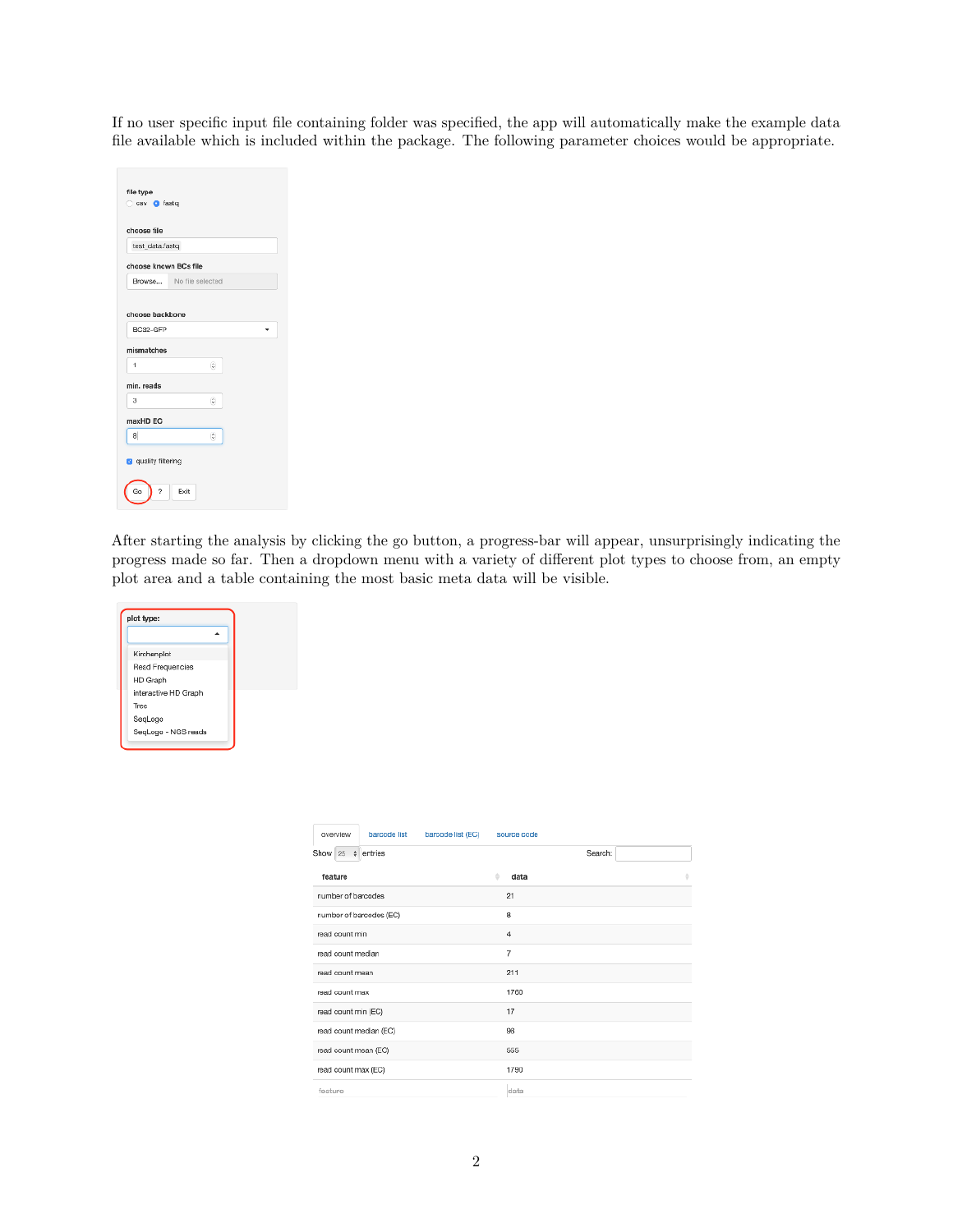If no user specific input file containing folder was specified, the app will automatically make the example data file available which is included within the package. The following parameter choices would be appropriate.

| test data.fastq             |                  |  |  |
|-----------------------------|------------------|--|--|
| choose known BCs file       |                  |  |  |
| Browse                      | No file selected |  |  |
| mismatches                  |                  |  |  |
| 1                           | G                |  |  |
|                             |                  |  |  |
| з                           | IŞ.              |  |  |
|                             |                  |  |  |
| min. reads<br>maxHD EC<br>a | G)               |  |  |

After starting the analysis by clicking the go button, a progress-bar will appear, unsurprisingly indicating the progress made so far. Then a dropdown menu with a variety of different plot types to choose from, an empty plot area and a table containing the most basic meta data will be visible.



| barcode list (EC)<br>overview<br>barcode list | source code    |
|-----------------------------------------------|----------------|
| Show $25 \div$ entries                        | Search:        |
| feature                                       | ô<br>data      |
| number of barcodes                            | 21             |
| number of barcodes (EC)                       | 8              |
| read count min                                | $\overline{4}$ |
| read count median                             | 7              |
| read count mean                               | 211            |
| read count max                                | 1760           |
| read count min (EC)                           | 17             |
| read count median (EC)                        | 98             |
| read count mean (EC)                          | 555            |
| read count max (EC)                           | 1790           |
| feature                                       | data           |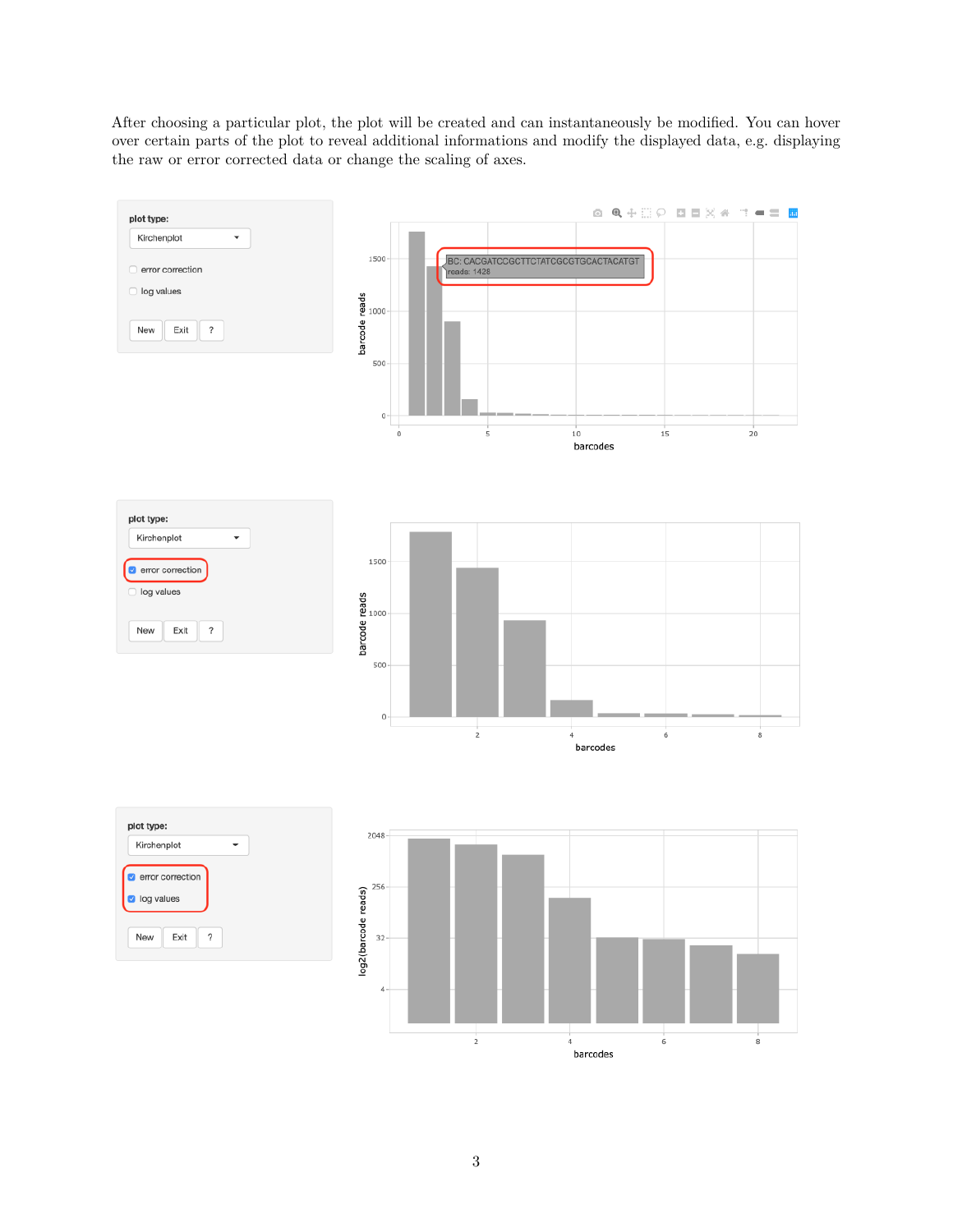After choosing a particular plot, the plot will be created and can instantaneously be modified. You can hover over certain parts of the plot to reveal additional informations and modify the displayed data, e.g. displaying the raw or error corrected data or change the scaling of axes.

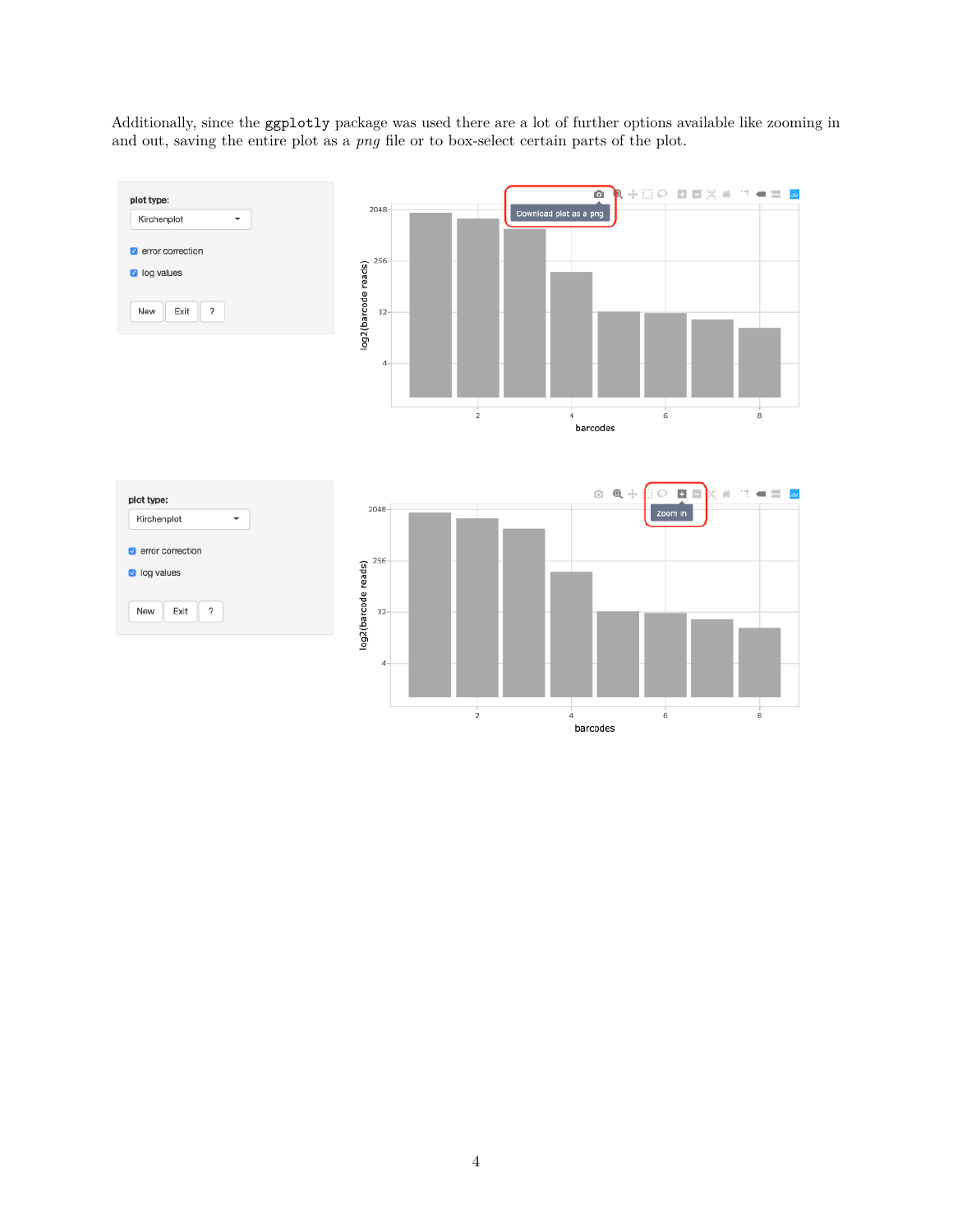Additionally, since the [ggplotly](https://www.rdocumentation.org/packages/plotly/versions/4.9.0/topics/ggplotly) package was used there are a lot of further options available like zooming in and out, saving the entire plot as a *png* file or to box-select certain parts of the plot.

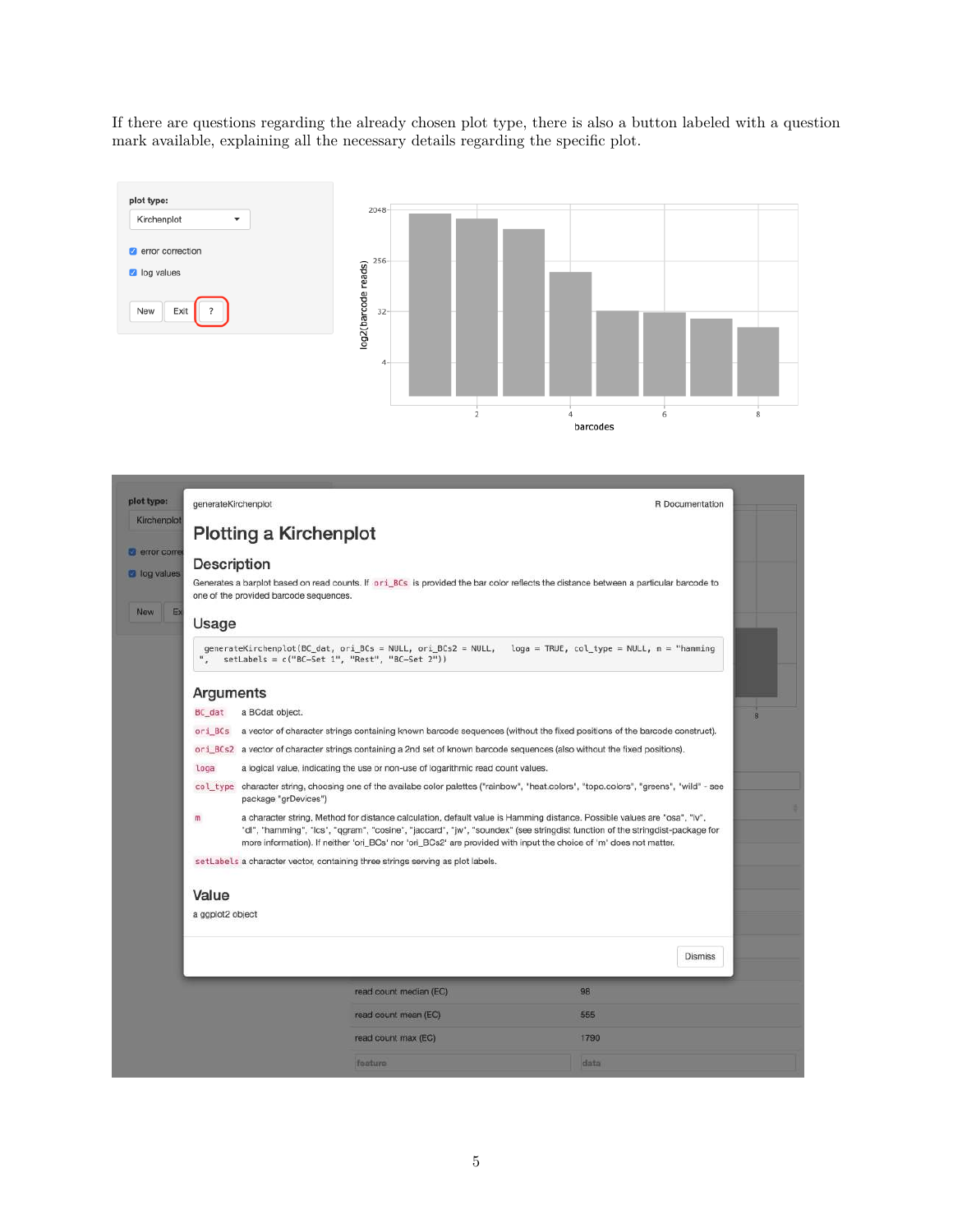If there are questions regarding the already chosen plot type, there is also a button labeled with a question mark available, explaining all the necessary details regarding the specific plot.



| plot type:<br>generateKirchenplot                       |                                                |                                                                                                                                                                                                                                                                                                                                                                               | R Documentation |   |  |  |
|---------------------------------------------------------|------------------------------------------------|-------------------------------------------------------------------------------------------------------------------------------------------------------------------------------------------------------------------------------------------------------------------------------------------------------------------------------------------------------------------------------|-----------------|---|--|--|
| Kirchenplot                                             | <b>Plotting a Kirchenplot</b>                  |                                                                                                                                                                                                                                                                                                                                                                               |                 |   |  |  |
| error corre<br>Description<br><b>2</b> log values<br>Ex | one of the provided barcode sequences.         | Generates a barplot based on read counts. If or i BCs is provided the bar color reflects the distance between a particular barcode to                                                                                                                                                                                                                                         |                 |   |  |  |
| Usage                                                   |                                                |                                                                                                                                                                                                                                                                                                                                                                               |                 |   |  |  |
|                                                         | setLabels = c("BC-Set 1", "Rest", "BC-Set 2")) | generateKirchenplot(BC_dat, ori_BCs = NULL, ori_BCs2 = NULL, loga = TRUE, col_type = NULL, m = "hamming                                                                                                                                                                                                                                                                       |                 |   |  |  |
| Arguments                                               |                                                |                                                                                                                                                                                                                                                                                                                                                                               |                 |   |  |  |
| BC dat                                                  | a BCdat object.                                |                                                                                                                                                                                                                                                                                                                                                                               |                 | 8 |  |  |
|                                                         |                                                | or i_BCs a vector of character strings containing known barcode sequences (without the fixed positions of the barcode construct).                                                                                                                                                                                                                                             |                 |   |  |  |
|                                                         |                                                | or i_BCs2 a vector of character strings containing a 2nd set of known barcode sequences (also without the fixed positions).                                                                                                                                                                                                                                                   |                 |   |  |  |
| loga                                                    |                                                | a logical value, indicating the use or non-use of logarithmic read count values.                                                                                                                                                                                                                                                                                              |                 |   |  |  |
|                                                         | package "grDevices")                           | col_type_character string, choosing one of the availabe color palettes ("rainbow", "heat.colors", "topo.colors", "greens", "wild" - see                                                                                                                                                                                                                                       |                 |   |  |  |
| $\mathfrak{m}$                                          |                                                | a character string, Method for distance calculation, default value is Hamming distance. Possible values are "osa", "Iv",<br>"dl", "hamming", "lcs", "qgram", "cosine", "jaccard", "jw", "soundex" (see stringdist function of the stringdist-package for<br>more information). If neither 'ori_BCs' nor 'ori_BCs2' are provided with input the choice of 'm' does not matter. |                 |   |  |  |
|                                                         |                                                | setLabels a character vector, containing three strings serving as plot labels.                                                                                                                                                                                                                                                                                                |                 |   |  |  |
| Value                                                   |                                                |                                                                                                                                                                                                                                                                                                                                                                               |                 |   |  |  |
| a ggplot2 object                                        |                                                |                                                                                                                                                                                                                                                                                                                                                                               |                 |   |  |  |
|                                                         |                                                |                                                                                                                                                                                                                                                                                                                                                                               | <b>Dismiss</b>  |   |  |  |
|                                                         |                                                |                                                                                                                                                                                                                                                                                                                                                                               |                 |   |  |  |
|                                                         |                                                | read count median (EC)                                                                                                                                                                                                                                                                                                                                                        | 98              |   |  |  |
|                                                         |                                                | read count mean (EC)                                                                                                                                                                                                                                                                                                                                                          | 555             |   |  |  |
|                                                         |                                                | read count max (EC)                                                                                                                                                                                                                                                                                                                                                           | 1790            |   |  |  |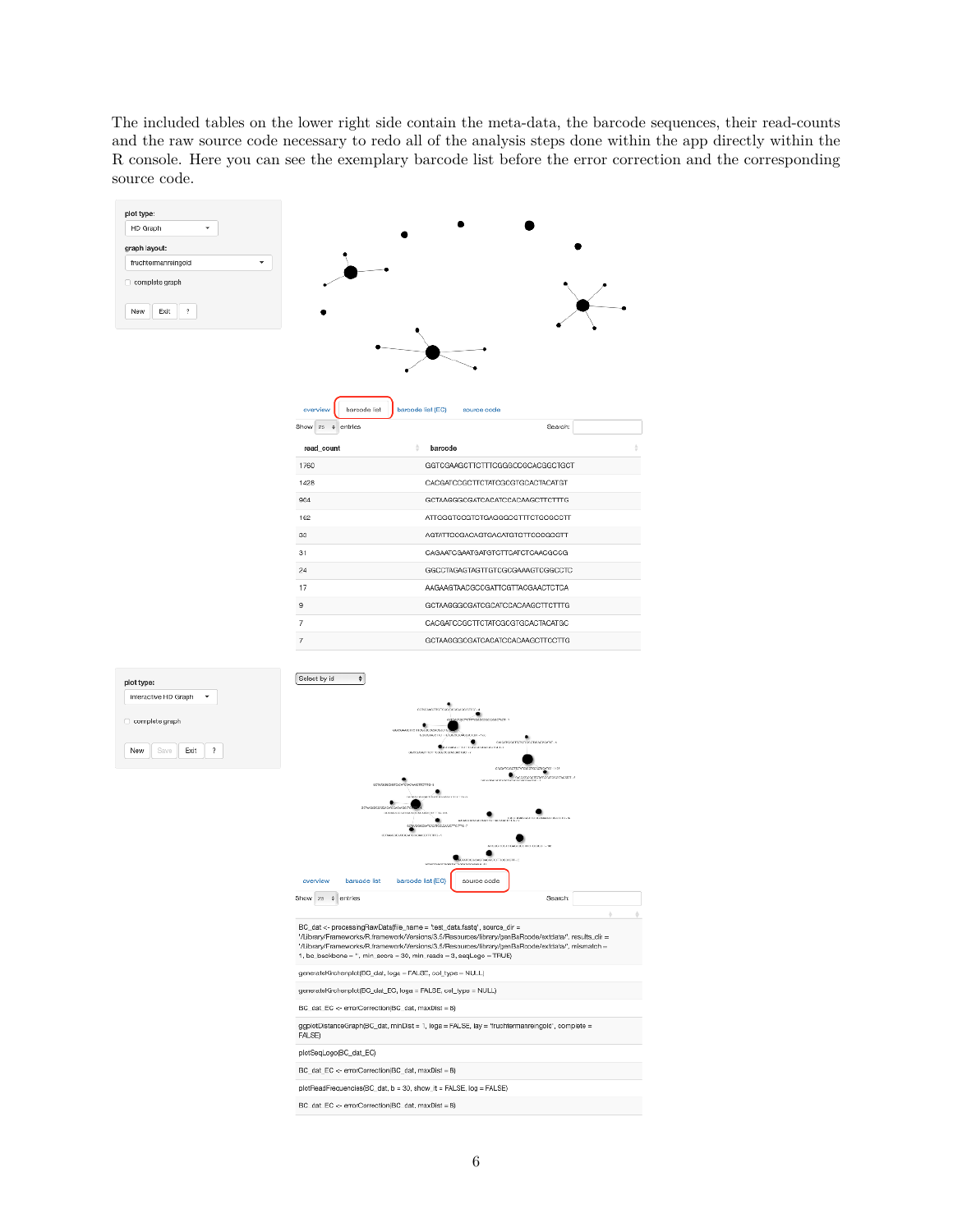The included tables on the lower right side contain the meta-data, the barcode sequences, their read-counts and the raw source code necessary to redo all of the analysis steps done within the app directly within the R console. Here you can see the exemplary barcode list before the error correction and the corresponding source code.